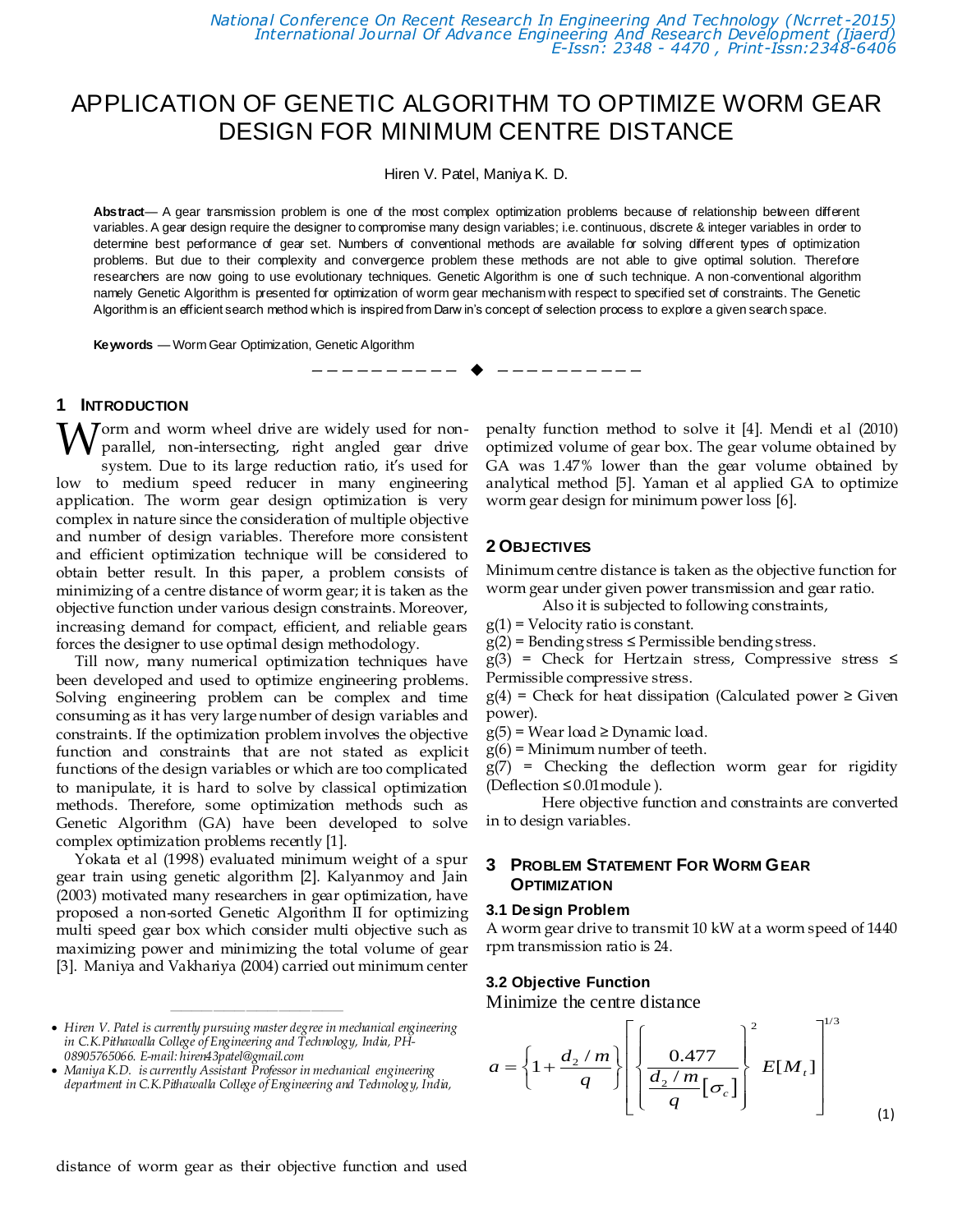*National Conference On Recent Research In Engineering And Technology (Ncrret -2015) International Journal Of Advance Engineering And Research Development (Ijaerd) E-Issn: 2348 - 4470 , Print-Issn:2348-6406*

# APPLICATION OF GENETIC ALGORITHM TO OPTIMIZE WORM GEAR DESIGN FOR MINIMUM CENTRE DISTANCE

Hiren V. Patel, Maniya K. D.

**Abstract**— A gear transmission problem is one of the most complex optimization problems because of relationship between different variables. A gear design require the designer to compromise many design variables; i.e. continuous, discrete & integer variables in order to determine best performance of gear set. Numbers of conventional methods are available for solving different types of optimization problems. But due to their complexity and convergence problem these methods are not able to give optimal solution. Therefore researchers are now going to use evolutionary techniques. Genetic Algorithm is one of such technique. A non-conventional algorithm namely Genetic Algorithm is presented for optimization of worm gear mechanism with respect to specified set of constraints. The Genetic Algorithm is an efficient search method which is inspired from Darw in's concept of selection process to explore a given search space.

—————————— ——————————

**Keywords** — Worm Gear Optimization, Genetic Algorithm

# **1 INTRODUCTION**

**W** orm and worm wheel drive are widely used for non-<br>parallel, non-intersecting, right angled gear drive parallel, non-intersecting, right angled gear drive system. Due to its large reduction ratio, it's used for low to medium speed reducer in many engineering application. The worm gear design optimization is very complex in nature since the consideration of multiple objective and number of design variables. Therefore more consistent and efficient optimization technique will be considered to obtain better result. In this paper, a problem consists of minimizing of a centre distance of worm gear; it is taken as the objective function under various design constraints. Moreover, increasing demand for compact, efficient, and reliable gears forces the designer to use optimal design methodology.

Till now, many numerical optimization techniques have been developed and used to optimize engineering problems. Solving engineering problem can be complex and time consuming as it has very large number of design variables and constraints. If the optimization problem involves the objective function and constraints that are not stated as explicit functions of the design variables or which are too complicated to manipulate, it is hard to solve by classical optimization methods. Therefore, some optimization methods such as Genetic Algorithm (GA) have been developed to solve complex optimization problems recently [1].

Yokata et al (1998) evaluated minimum weight of a spur gear train using genetic algorithm [2]. Kalyanmoy and Jain (2003) motivated many researchers in gear optimization, have proposed a non-sorted Genetic Algorithm II for optimizing multi speed gear box which consider multi objective such as maximizing power and minimizing the total volume of gear [3]. Maniya and Vakhariya (2004) carried out minimum center

 *Hiren V. Patel is currently pursuing master degree in mechanical engineering in C.K.Pithawalla College of Engineering and Technology, India, PH-08905765066. E-mail: hiren43patel@gmail.com*

————————————————

penalty function method to solve it [4]. Mendi et al (2010) optimized volume of gear box. The gear volume obtained by GA was 1.47% lower than the gear volume obtained by analytical method [5]. Yaman et al applied GA to optimize worm gear design for minimum power loss [6].

#### **2 OBJECTIVES**

Minimum centre distance is taken as the objective function for worm gear under given power transmission and gear ratio.

Also it is subjected to following constraints,

 $g(1)$  = Velocity ratio is constant.

 $g(2)$  = Bending stress  $\leq$  Permissible bending stress.

 $g(3)$  = Check for Hertzain stress, Compressive stress  $\leq$ Permissible compressive stress.

 $g(4)$  = Check for heat dissipation (Calculated power  $\geq$  Given power).

- $g(5)$  = Wear load ≥ Dynamic load.
- $g(6)$  = Minimum number of teeth.

g(7) = Checking the deflection worm gear for rigidity (Deflection ≤ 0.01module ).

Here objective function and constraints are converted in to design variables.

# **3 PROBLEM STATEMENT FOR WORM GEAR OPTIMIZATION**

#### **3.1 Design Problem**

A worm gear drive to transmit 10 kW at a worm speed of 1440 rpm transmission ratio is 24.

#### **3.2 Objective Function**

Minimize the centre distance

Minimize the centre distance  
\n
$$
a = \left\{1 + \frac{d_2 / m}{q}\right\} \left[ \left\{ \frac{0.477}{\frac{d_2 / m}{q} [\sigma_c]} \right\}^2 E[M_t] \right]^{1/3}
$$
\n(1)

*Maniya K.D. is currently Assistant Professor in mechanical engineering department in C.K.Pithawalla College of Engineering and Technology, India,*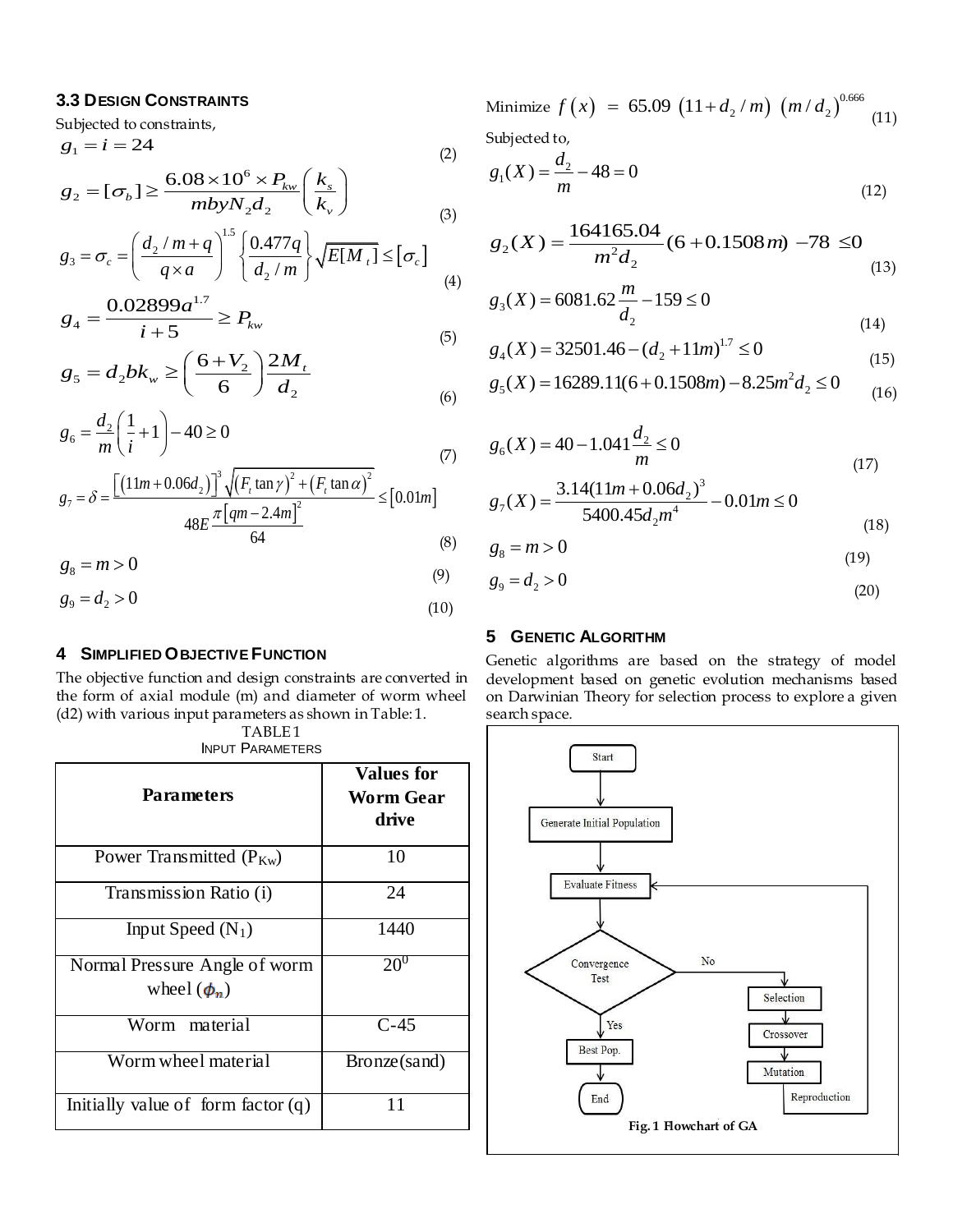# **3.3 DESIGN CONSTRAINTS**

Subjected to constraints,  $g_1 = i = 24$  (2)  $\times 10^6 \times P_{kw} (k_s)$ 

$$
g_1 = t = 24
$$
\n
$$
g_2 = [\sigma_b] \ge \frac{6.08 \times 10^6 \times P_{kw}}{mbyN_2 d_2} \left(\frac{k_s}{k_v}\right)
$$
\n
$$
g_3 = \sigma = \left(\frac{d_2/m + q}{k_v}\right)^{1.5} \left(\frac{0.477q}{m}\right), \sqrt{E[M]} < [\sigma]
$$
\n(2)

$$
mbyN_{2}d_{2} \t(k_{v})
$$
\n(3)  
\n
$$
g_{3} = \sigma_{c} = \left(\frac{d_{2}/m + q}{q \times a}\right)^{1.5} \left\{\frac{0.477q}{d_{2}/m}\right\} \sqrt{E[M_{i}]} \leq [\sigma_{c}]
$$
\n(4)  
\n(5)

$$
g_4 = \frac{0.02899a^{1.7}}{i+5} \ge P_{kw}
$$
 (5)

$$
t+3
$$
\n
$$
g_5 = d_2 bk_w \ge \left(\frac{6 + V_2}{6}\right) \frac{2M_t}{d_2}
$$
\n(5)

$$
g_6 = \frac{d_2}{m} \left(\frac{1}{i} + 1\right) - 40 \ge 0\tag{7}
$$

$$
s_{6} \t m (i1)10 = 0
$$
\n(7)  
\n
$$
g_{7} = \delta = \frac{\left[ (11m + 0.06d_{2}) \right]^{3} \sqrt{\left( F_{t} \tan \gamma \right)^{2} + \left( F_{t} \tan \alpha \right)^{2}}}{48E \frac{\pi [qm - 2.4m]^{2}}{64}} \leq [0.01m]
$$
\n(8)

$$
g_8 = m > 0 \tag{9}
$$

$$
g_9 = d_2 > 0 \tag{10}
$$

# **4 SIMPLIFIED OBJECTIVE FUNCTION**

The objective function and design constraints are converted in the form of axial module (m) and diameter of worm wheel (d2) with various input parameters as shown in Table: 1.

| TABLE <sub>1</sub>      |
|-------------------------|
| <b>INPUT PARAMETERS</b> |

| <b>Parameters</b>                                 | <b>Values for</b><br>Worm Gear<br>drive |
|---------------------------------------------------|-----------------------------------------|
| Power Transmitted $(P_{Kw})$                      | 10                                      |
| Transmission Ratio (i)                            | 24                                      |
| Input Speed $(N_1)$                               | 1440                                    |
| Normal Pressure Angle of worm<br>wheel $(\phi_n)$ | $20^0$                                  |
| Worm material                                     | $C-45$                                  |
| Worm wheel material                               | Bronze(sand)                            |
| Initially value of form factor $(q)$              | 11                                      |

Minimize  $f(x)$  = 65.09  $(11+d_2/m)(m/d_2)^{0.666}$  $f (x) = 65.09 (11 + d<sub>2</sub>/m) (m/d<sub>2</sub>)<sup>0.666</sup> (11)$ Subjected to,

$$
g_1(X) = \frac{d_2}{m} - 48 = 0\tag{12}
$$

$$
g_2(X) = \frac{164165.04}{m^2 d_2} (6 + 0.1508 m) -78 \le 0
$$
\n(13)

$$
g_3(X) = 6081.62 \frac{m}{d_2} - 159 \le 0
$$
\n(14)

$$
a_2
$$
\n(14)\n
$$
g_4(X) = 32501.46 - (d_2 + 11m)^{1.7} \le 0
$$
\n(15)\n
$$
g_5(X) = 16289.11(6 + 0.1508m) - 8.25m^2 d_2 \le 0
$$
\n(16)

$$
g_5(X) = 16289.11(6 + 0.1508m) - 8.25m^2 d_2 \le 0
$$
 (16)

$$
g_6(X) = 40 - 1.041 \frac{d_2}{m} \le 0
$$
\n(17)

$$
m
$$
(17)  

$$
g_7(X) = \frac{3.14(11m + 0.06d_2)^3}{5400.45d_2m^4} - 0.01m \le 0
$$
(18)

$$
g_8 = m > 0 \tag{19}
$$

$$
g_9 = d_2 > 0 \tag{20}
$$

## **5 GENETIC ALGORITHM**

Genetic algorithms are based on the strategy of model development based on genetic evolution mechanisms based on Darwinian Theory for selection process to explore a given search space.

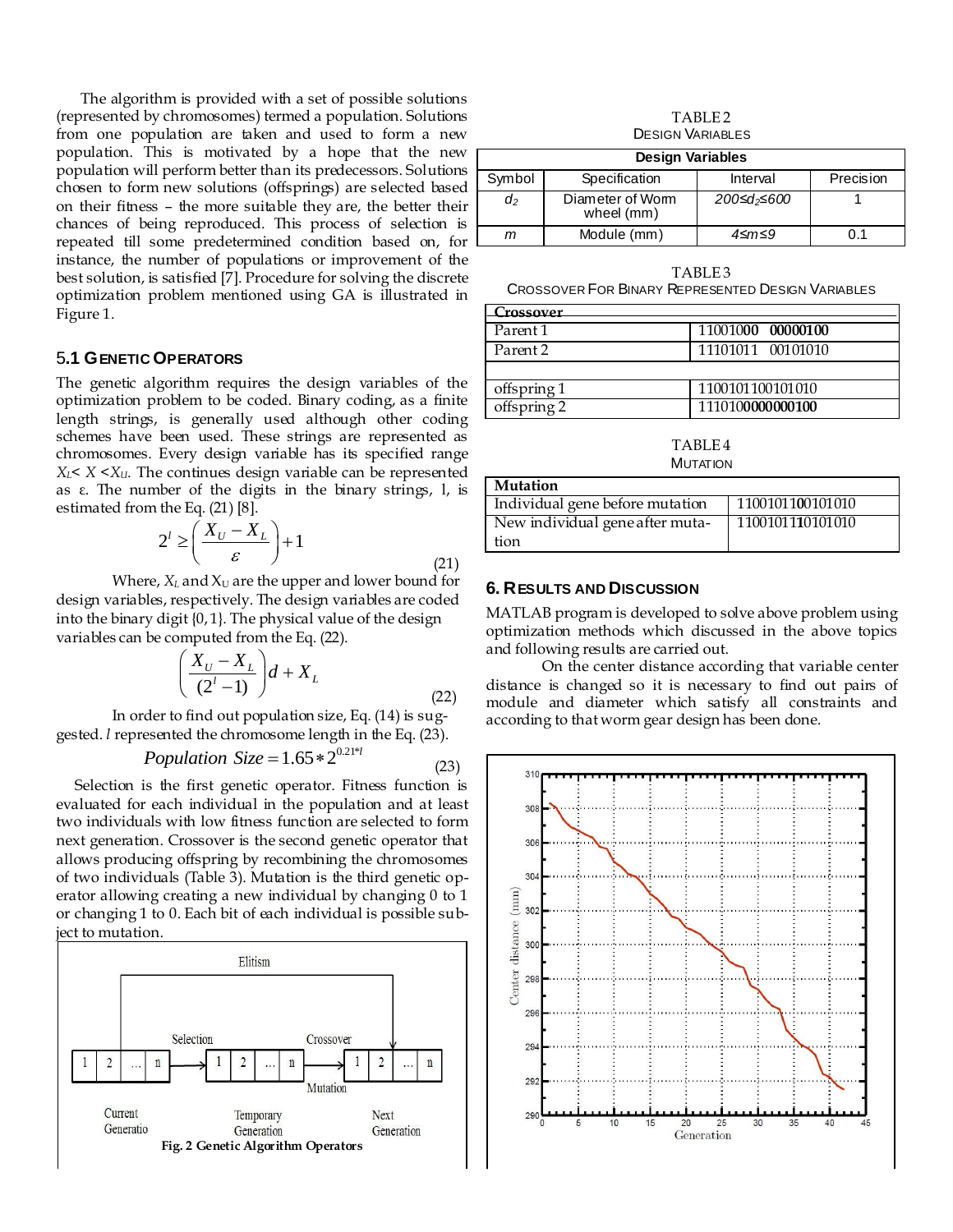The algorithm is provided with a set of possible solutions (represented by chromosomes) termed a population. Solutions from one population are taken and used to form a new population. This is motivated by a hope that the new population will perform better than its predecessors. Solutions chosen to form new solutions (offsprings) are selected based on their fitness – the more suitable they are, the better their chances of being reproduced. This process of selection is repeated till some predetermined condition based on, for instance, the number of populations or improvement of the best solution, is satisfied [7]. Procedure for solving the discrete optimization problem mentioned using GA is illustrated in Figure 1.

## 5**.1 GENETIC OPERATORS**

The genetic algorithm requires the design variables of the optimization problem to be coded. Binary coding, as a finite length strings, is generally used although other coding schemes have been used. These strings are represented as chromosomes. Every design variable has its specified range  $X_L$   $X \leq X_U$ . The continues design variable can be represented as ε. The number of the digits in the binary strings, l, is estimated from the Eq. (21) [8].

$$
2^{l} \ge \left(\frac{X_{U} - X_{L}}{\varepsilon}\right) + 1\tag{21}
$$

Where,  $X_L$  and  $X_U$  are the upper and lower bound for design variables, respectively. The design variables are coded into the binary digit {0, 1}. The physical value of the design variables can be computed from the Eq. (22).

$$
\left(\frac{X_U - X_L}{(2^l - 1)}\right)d + X_L
$$
\n(22)

In order to find out population size, Eq. (14) is suggested. *l* represented the chromosome length in the Eq. (23).

> *Population Size* =  $1.65 * 2^{0.21 * l}$ (23)

Selection is the first genetic operator. Fitness function is evaluated for each individual in the population and at least two individuals with low fitness function are selected to form next generation. Crossover is the second genetic operator that allows producing offspring by recombining the chromosomes of two individuals (Table 3). Mutation is the third genetic operator allowing creating a new individual by changing 0 to 1 or changing 1 to 0. Each bit of each individual is possible subject to mutation.



TABLE<sub>2</sub> DESIGN VARIABLES

| <b>Design Variables</b> |                                |                         |           |  |
|-------------------------|--------------------------------|-------------------------|-----------|--|
| Symbol                  | Specification                  | Interval                | Precision |  |
| $d_2$                   | Diameter of Worm<br>wheel (mm) | 200≤d <sub>2</sub> ≤600 |           |  |
| m                       | Module (mm)                    | 4≤m≤9                   | በ 1       |  |

TABLE 3 CROSSOVER FOR BINARY REPRESENTED DESIGN VARIABLES

| Crossover   |                   |
|-------------|-------------------|
| Parent 1    | 11001000 00000100 |
| Parent 2    | 11101011 00101010 |
|             |                   |
| offspring 1 | 1100101100101010  |
| offspring 2 | 1110100000000100  |

TABLE 4 **MUTATION** 

| Mutation                        |                  |
|---------------------------------|------------------|
| Individual gene before mutation | 1100101100101010 |
| New individual gene after muta- | 1100101110101010 |
| tion                            |                  |

## **6. RESULTS AND DISCUSSION**

MATLAB program is developed to solve above problem using optimization methods which discussed in the above topics and following results are carried out.

On the center distance according that variable center distance is changed so it is necessary to find out pairs of module and diameter which satisfy all constraints and according to that worm gear design has been done.